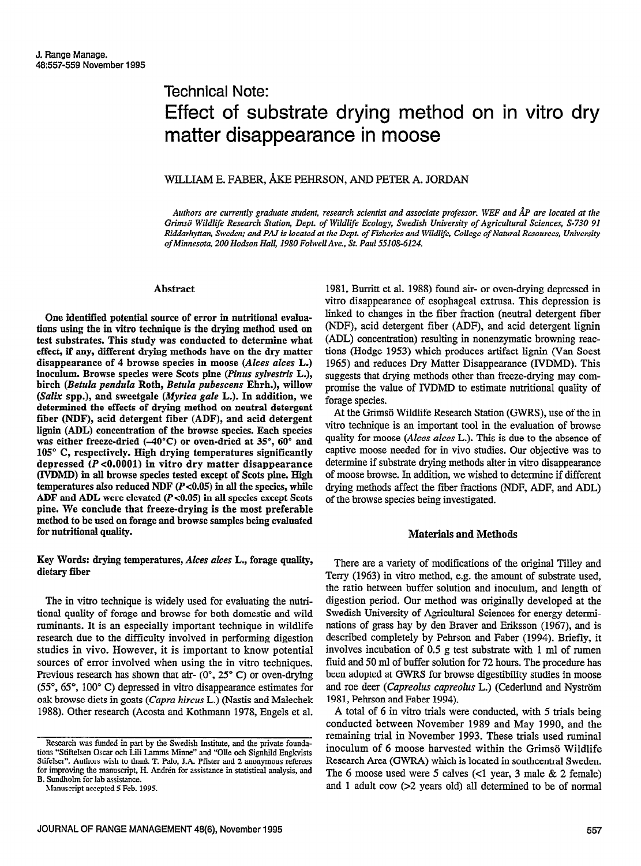# Technical Note: Effect of substrate drying method on in vitro dry matter disappearance in moose

## WILLIAM E. FABER, &E PEHRSON, AND PETER A. JORDAN

Authors are currently graduate student, research scientist and associate professor. WEF and ÅP are located at the Grimsö Wildlife Research Station, Dept. of Wildlife Ecology, Swedish University of Agricultural Sciences, S-730 91 Riddarhyttan, Sweden; and PAJ is located at the Dept. of Fisheries and Wildlife, College of Natural Resources, University of Minnesota, 200 Hodson Hall, 1980 Folwell Ave., St. Paul 55108-6124.

#### Abstract

One identified potential source of error in nutritional evaluations using the in vitro technique is the drying method used on test substrates. This study was conducted to determine what effect, if any, different drying methods have on the dry matter disappearance of 4 browse species in moose (Alces alces L.) inoculum. Browse species were Scots pine (Pinus sylvestris L.), birch (Betula pendula Roth, Betula pubescens Ehrh.), willow (Salix spp.), and sweetgale (Myrica gale L.). In addition, we determined the effects of drying method on neutral detergent fiber (NDF), acid detergent fiber (ADF), and acid detergent lignin (ADL) concentration of the browse species. Each species was either freeze-dried  $(-40^{\circ}C)$  or oven-dried at 35°, 60° and 105" C, respectively. High drying temperatures significantly depressed (P ~0.0001) in vitro dry matter disappearance (WDMD) in all browse species tested except of Scats pine. High temperatures also reduced NDF  $(P<0.05)$  in all the species, while ADF and ADL were elevated  $(P<0.05)$  in all species except Scots pine. We conclude that freeze-drying is the most preferable method to be used on forage and browse samples being evaluated for nutritional quality.

Key Words: drying temperatures, Akes alces L., forage quality, dietary fiber

The in vitro technique is widely used for evaluating the nutitional quality of forage and browse for both domestic and wild ruminants. It is an especially important technique in wildlife research due to the difficulty involved in performing digestion studies in vivo. However, it is important to know potential sources of error involved when using the in vitro techniques. Previous research has shown that air-  $(0^{\circ}, 25^{\circ} \text{ C})$  or oven-drying (55", 65", 100" C) depressed in vitro disappearance estimates for oak browse diets in goats (Capra hircus L.) (Nastis and Malechek 1988). Other research (Acosta and Kothmann 1978, Engels et al.

1981, Burritt et al. 1988) found air- or oven-drying depressed in vitro disappearance of esophageal extrusa. This depression is linked to changes in the fiber fraction (neutral detergent fiber (NDF), acid detergent fiber (ADF), and acid detergent lignin (ADL) concentration) resulting in nonenzymatic browning reactions (Hedge 1953) which produces artifact lignin (Van Soest 1965) and reduces Dry Matter Disappearance (IVDMD). This suggests that drying methods other than freeze-drying may compromise the value of IVDMD to estimate nutritional quality of forage species.

At the Grimsö Wildlife Research Station (GWRS), use of the in vitro technique is an important tool in the evaluation of browse quality for moose (Alces alces L.). This is due to the absence of captive moose needed for in vivo studies. Our objective was to determine if substrate drying methods alter in vitro disappearance of moose browse. In addition, we wished to determine if different drying methods affect the fiber fractions (NDF, ADF, and ADL) of the browse species being investigated.

#### Materials and Methods

There are a variety of modifications of the original Tilley and Terry (1963) in vitro method, e.g. the amount of substrate used, the ratio between buffer solution and inoculum, and length of digestion period. Our method was originally developed at the Swedish University of Agricultural Sciences for energy determinations of grass hay by den Braver and Eriksson (1967), and is described completely by Pehrson and Faber (1994). Briefly, it involves incubation of 0.5 g test substrate with 1 ml of rumen fluid and 50 ml of buffer solution for 72 hours. The procedure has been adopted at GWRS for browse digestibility studies in moose and roe deer (Capreolus capreolus L.) (Cederlund and Nyström 1981, Pehrson and Faber 1994).

A total of 6 in vitro trials were conducted, with 5 trials being conducted between November 1989 and May 1990, and the remaining trial in November 1993. These trials used ruminal inoculum of 6 moose harvested within the Grimsö Wildlife Research Area (GWR4) which is located in southcentral Sweden. The 6 moose used were 5 calves (<I year, 3 male & 2 female) and 1 adult cow (>2 years old) all determined to be of normal

Research was funded in part by the Swedish Institute, and the private foundations "Stiftelsen Oscar och Lili Lamms Minne" and "Olle och Signhild Engkvists Stifelser". Authors wish to thank T. Palo, J.A. Pfister and 2 anonymous referees for improving the manuscript, H. Andrén for assistance in statistical analysis, and B. Sundholm for lab assistance.

Manuscript accepted 5 Feb. 1995.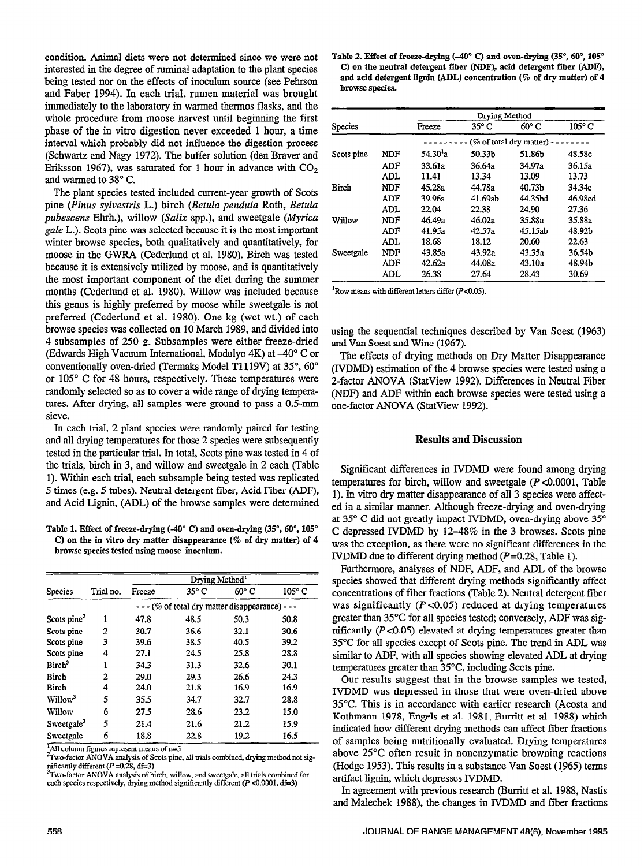condition. Animal diets were not determined since we were not interested in the degree of ruminal adaptation to the plant species being tested nor on the effects of inoculum source (see Pehrson and Faber 1994). In each trial, rumen material was brought immediately to the laboratory in warmed thermos flasks, and the whole procedure from moose harvest until beginning the first phase of the in vitro digestion never exceeded 1 hour, a time interval which probably did not influence the digestion process (Schwartz and Nagy 1972). The buffer solution (den Braver and Eriksson 1967), was saturated for 1 hour in advance with  $CO<sub>2</sub>$ and warmed to 38" C.

The plant species tested included current-year growth of Scots pine (Pinus sylvestris L.) birch (Betula pendula Roth, Betula pubescens Ehrh.), willow (Salix spp.), and sweetgale (Myrica gale L.). Scats pine was selected because it is the most important winter browse species, both qualitatively and quantitatively, for moose in the GWRA (Cederlund et al. 1980). Birch was tested because it is extensively utilized by moose, and is quantitatively the most important component of the diet during the summer months (Cederlund et al. 1980). Willow was included because this genus is highly preferred by moose while sweetgale is not preferred (Cederlund et al. 1980). One kg (wet wt.) of each browse species was collected on 10 March 1989, and divided into 4 subsamples of 250 g. Subsamples were either freeze-dried (Edwards High Vacuum International, Modulyo 4K) at -40" C or conventionally oven-dried (Termaks Model T1119V) at 35°, 60° or 105" C for 48 hours, respectively. These temperatures were randomly selected so as to cover a wide range of drying temperatures. After drying, all samples were ground to pass a 0.5~mm sieve.

In each trial, 2 plant species were randomly paired for testing and all drying temperatures for those 2 species were subsequently tested in the particular trial. In total, Scats pine was tested in 4 of the trials, birch in 3, and willow and sweetgale in 2 each (Iable 1). Within each trial, each subsample being tested was replicated 5 times (e.g. 5 tubes). Neutral detergent fiber, Acid Fiber (ADF), and Acid Lignin, (ADL) of the browse samples were determined

Table 1. Effect of freeze-drying  $(-40^{\circ} \text{ C})$  and oven-drying  $(35^{\circ}, 60^{\circ}, 105^{\circ})$ C) on the in vitro dry matter disappearance (% of dry matter) of 4 browse species tested using moose inoculum.

| <b>Species</b>          |                | Drying Method <sup>1</sup>                        |                |                |                 |  |  |
|-------------------------|----------------|---------------------------------------------------|----------------|----------------|-----------------|--|--|
|                         | Trial no.      | Freeze                                            | $35^{\circ}$ C | $60^{\circ}$ C | $105^{\circ}$ C |  |  |
|                         |                | - - - (% of total dry matter disappearance) - - - |                |                |                 |  |  |
| Scots pine <sup>2</sup> | 1              | 47.8                                              | 48.5           | 50.3           | 50.8            |  |  |
| Scots pine              | 2              | 30.7                                              | 36.6           | 32.1           | 30.6            |  |  |
| Scots pine              | 3              | 39.6                                              | 38.5           | 40.5           | 39.2            |  |  |
| Scots pine              | 4              | 27.1                                              | 24.5           | 25.8           | 28.8            |  |  |
| Birch <sup>3</sup>      | 1              | 34.3                                              | 31.3           | 32.6           | 30.1            |  |  |
| Birch                   | $\overline{2}$ | 29.0                                              | 29.3           | 26.6           | 24.3            |  |  |
| Birch                   | 4              | 24.0                                              | 21.8           | 16.9           | 16.9            |  |  |
| Willow <sup>3</sup>     | 5              | 35.5                                              | 34.7           | 32.7           | 28.8            |  |  |
| Willow                  | 6              | 27.5                                              | 28.6           | 23.2           | 15.0            |  |  |
| Sweetgale <sup>3</sup>  | 5              | 21.4                                              | 21.6           | 21.2           | 15.9            |  |  |
| Sweetgale               | 6              | 18.8                                              | 22.8           | 19.2           | 16.5            |  |  |

 $\frac{1}{4}$ All column figures represent means of  $n=5$ 

|                |            | Drying Method           |                |                     |               |  |  |
|----------------|------------|-------------------------|----------------|---------------------|---------------|--|--|
| <b>Species</b> |            | Freeze                  | $35^{\circ}$ C | 60° C               | $105^\circ$ C |  |  |
|                |            | (% of total dry matter) |                |                     |               |  |  |
| Scots pine     | NDF        | $54.30^{1}a$            | 50.33b         | 51.86h              | 48.58c        |  |  |
|                | ADF        | 33.61a                  | 36.64a         | 34.97a              | 36.15a        |  |  |
|                | <b>ADL</b> | 11.41                   | 13.34          | 13.09               | 13.73         |  |  |
| Birch          | NDF        | 45.28a                  | 44.78a         | 40.73b              | 34.34c        |  |  |
|                | ADF        | 39.96а                  | 41.69ab        | 44.35 <sub>hd</sub> | 46.98cd       |  |  |
|                | ADL        | 22.04                   | 22.38          | 24.90               | 27.36         |  |  |
| Willow         | NDF        | 46.49a                  | 46.02a         | 35.88a              | 35.88a        |  |  |
|                | ADF        | 41.95a                  | 42.57a         | 45.15ab             | 48.92b        |  |  |
|                | ADL        | 18.68                   | 18.12          | 20.60               | 22.63         |  |  |
| Sweetgale      | NDF        | 43.85a                  | 43.92a         | 43.35a              | 36.54b        |  |  |
|                | ADF        | 42.62a                  | 44.08a         | 43.10a              | 48.94b        |  |  |
|                | ADL        | 26.38                   | 27.64          | 28.43               | 30.69         |  |  |

 $R$ ow means with different letters differ ( $P$ <0.05).

using the sequential techniques described by Van Soest (1963) and Van Soest and Wine (1967).

The effects of drying methods on Dry Matter Disappearance (IVDMD) estimation of the 4 browse species were tested using a 2-factor ANOVA (StatView 1992). Differences in Neutral Fiber (NDF) and ADF within each browse species were tested using a one-factor ANOVA (StatView 1992).

### Results and Discussion

Significant differences in IVDMD were found among drying temperatures for birch, willow and sweetgale  $(P<0.0001$ , Table 1). In vitro dry matter disappearance of all 3 species were affected in a similar manner. Although freeze-drying and oven-drying at 35° C did not greatly impact IVDMD, oven-drying above 35° C depressed IVDMD by 12-48% in the 3 browses. Scats pine was the exception, as there were no significant differences in the IVDMD due to different drying method  $(P=0.28, \text{Table 1}).$ 

Furthermore, analyses of NDF, ADF, and ADL of the browse species showed that different drying methods significantly affect concentrations of fiber fractions (Table 2). Neutral detergent fiber  $\frac{1}{2}$  was significantly  $\frac{1}{2}$  and  $\frac{1}{2}$  reduced at drying temperatures was significantly ( $P < 0.05$ ) reduced at drying temperatures greater than  $35^{\circ}$ C for all species tested; conversely, ADF was significantly  $(P<0.05)$  elevated at drying temperatures greater than  $\frac{35}{25}$  for all species except of SC for all species except of  $\frac{35}{25}$  $\frac{1}{2}$  c for an species except of second pluc. The field in ADL was  $t_{\text{full}}$  to ADT, with an species showing clevated A  $m$  peratures greater than  $33^\circ$ , mending scots pine.

Our results suggest that in the browse samples we tested, IVDMD was depressed in those that were oven-dried above  $35^{\circ}$ C. This is in accordance with earlier research (Acosta and Kothmann 1978, Engels et al. 1981, Burritt et al. 1988) which indicated how different drying methods can affect fiber fractions of samples being nutritionally evaluated. Drying temperatures above 25<sup>o</sup>C often result in nonenzymatic browning reactions (Hodge 1953). This results in a substance Van Soest (1965) terms artifact lignin, which depresses IVDMD.

In agreement with previous research (Burritt et al. 1988, Nastis and Malechek 1988), the changes in IVDMD and fiber fractions

 ${}^{2}$ Two-factor ANOVA analysis of Scots pine, all trials combined, drying method not sigmitcantly different (P=0.28, di=3)<br>\*Two-factor ANOVA analysis of birch, willow, and sweetgale, all trials combined for